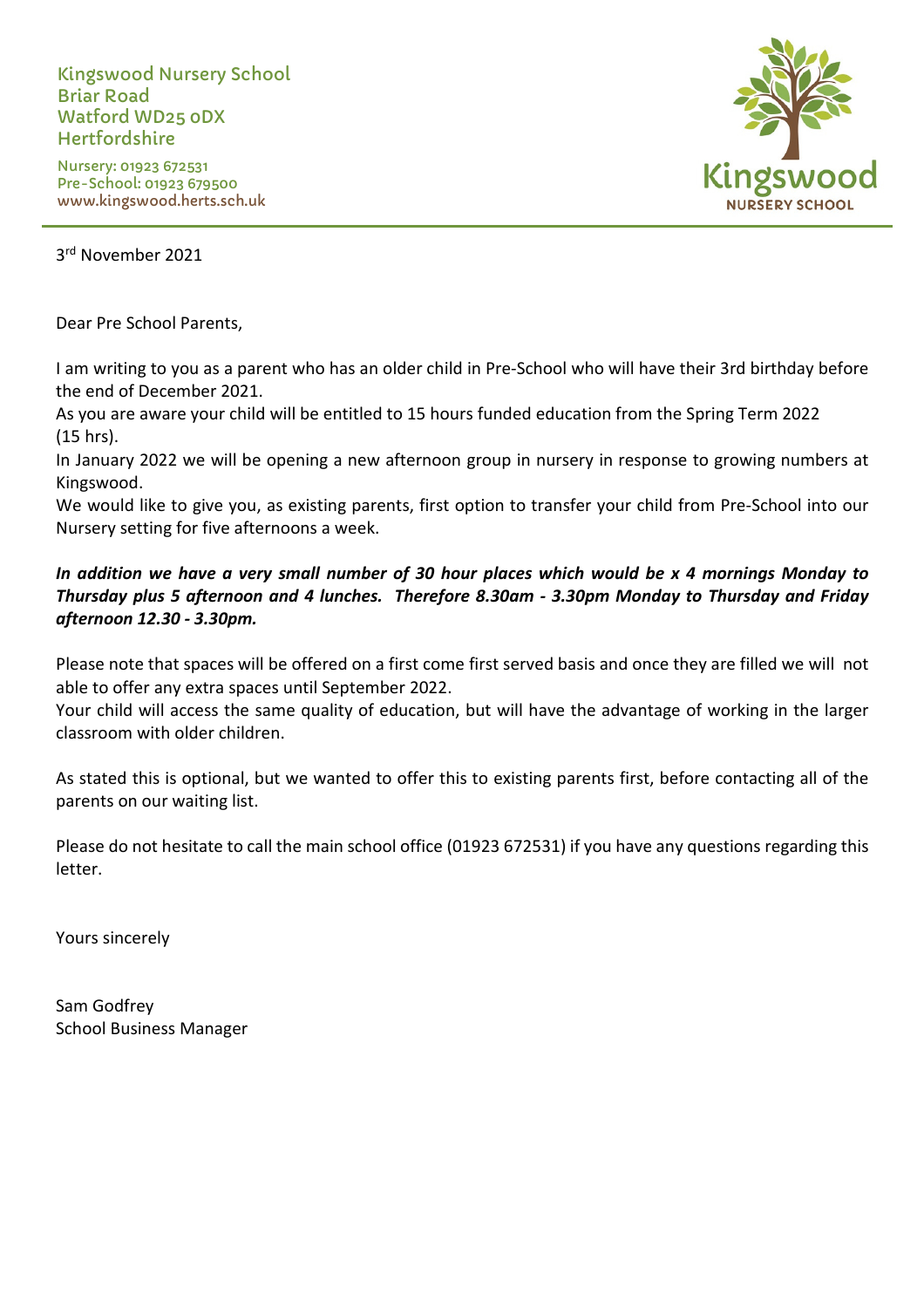Kingswood Nursery School Briar Road Watford WD25 0DX Hertfordshire

Nursery: 01923 672531 Pre-School: 01923 679500 www.kingswood.herts.sch.uk



3 rd November 2021

Dear Pre School Parents,

I am writing to you as a parent who has an older child in Pre-School who will have their 3rd birthday before the end of December 2021.

As you are aware your child will be entitled to 15 hours funded education from the Spring Term 2022 (15 hrs).

In January 2022 we will be opening a new afternoon group in nursery in response to growing numbers at Kingswood.

We would like to give you, as existing parents, first option to transfer your child from Pre-School into our Nursery setting for five afternoons a week.

## *In addition we have a very small number of 30 hour places which would be x 4 mornings Monday to Thursday plus 5 afternoon and 4 lunches. Therefore 8.30am - 3.30pm Monday to Thursday and Friday afternoon 12.30 - 3.30pm.*

Please note that spaces will be offered on a first come first served basis and once they are filled we will not able to offer any extra spaces until September 2022.

Your child will access the same quality of education, but will have the advantage of working in the larger classroom with older children.

As stated this is optional, but we wanted to offer this to existing parents first, before contacting all of the parents on our waiting list.

Please do not hesitate to call the main school office (01923 672531) if you have any questions regarding this letter.

Yours sincerely

Sam Godfrey School Business Manager